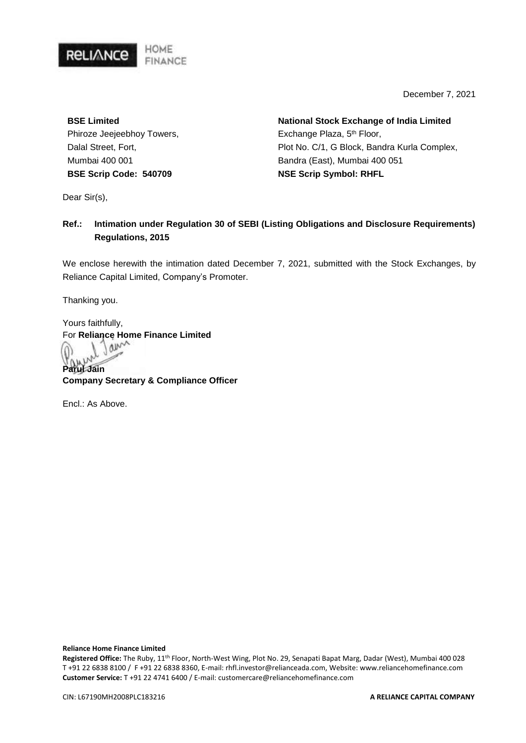

December 7, 2021

**BSE Limited**  Phiroze Jeejeebhoy Towers, Dalal Street, Fort, Mumbai 400 001 **BSE Scrip Code: 540709**

**National Stock Exchange of India Limited**  Exchange Plaza, 5<sup>th</sup> Floor, Plot No. C/1, G Block, Bandra Kurla Complex, Bandra (East), Mumbai 400 051 **NSE Scrip Symbol: RHFL**

Dear Sir(s),

#### **Ref.: Intimation under Regulation 30 of SEBI (Listing Obligations and Disclosure Requirements) Regulations, 2015**

We enclose herewith the intimation dated December 7, 2021, submitted with the Stock Exchanges, by Reliance Capital Limited, Company's Promoter.

Thanking you.

Yours faithfully, **For Reliance Home Finance Limited** 

**Parul Jain Company Secretary & Compliance Officer**

Encl.: As Above.

**Reliance Home Finance Limited**

**Registered Office:** The Ruby, 11th Floor, North-West Wing, Plot No. 29, Senapati Bapat Marg, Dadar (West), Mumbai 400 028 T +91 22 6838 8100 / F +91 22 6838 8360, E-mail: rhfl.investor@relianceada.com, Website: www.reliancehomefinance.com **Customer Service:** T +91 22 4741 6400 / E-mail: customercare@reliancehomefinance.com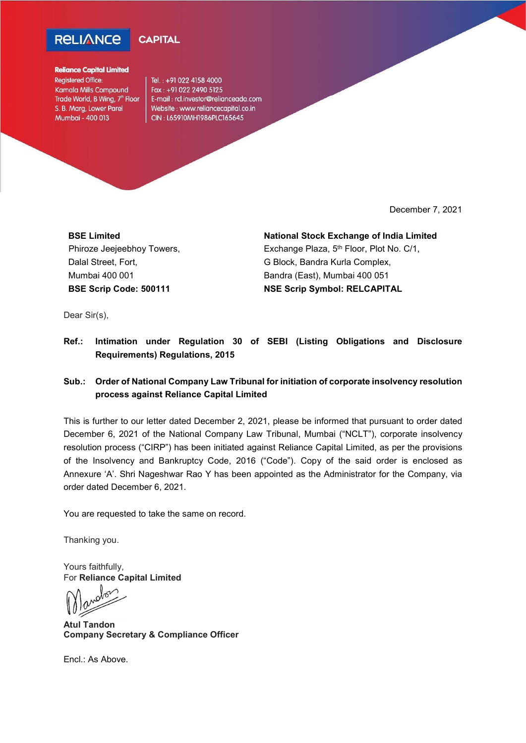



#### **Reliance Capital Limited**

Registered Office: Kamala Mills Compound Trade World, B Wing, 7<sup>th</sup> Floor S. B. Marg, Lower Parel Mumbai - 400 013

Tel.: +91 022 4158 4000 Fax: +91 022 2490 5125 E-mail: rcl.investor@relianceada.com Website: www.reliancecapital.co.in CIN: L65910MH1986PLC165645

December 7, 2021

BSE Limited Phiroze Jeejeebhoy Towers, Dalal Street, Fort, Mumbai 400 001 BSE Scrip Code: 500111

National Stock Exchange of India Limited Exchange Plaza, 5<sup>th</sup> Floor, Plot No. C/1,

G Block, Bandra Kurla Complex, Bandra (East), Mumbai 400 051 NSE Scrip Symbol: RELCAPITAL

Dear Sir(s),

Ref.: Intimation under Regulation 30 of SEBI (Listing Obligations and Disclosure Requirements) Regulations, 2015

#### Sub.: Order of National Company Law Tribunal for initiation of corporate insolvency resolution process against Reliance Capital Limited

This is further to our letter dated December 2, 2021, please be informed that pursuant to order dated December 6, 2021 of the National Company Law Tribunal, Mumbai ("NCLT"), corporate insolvency resolution process ("CIRP") has been initiated against Reliance Capital Limited, as per the provisions of the Insolvency and Bankruptcy Code, 2016 ("Code"). Copy of the said order is enclosed as Annexure 'A'. Shri Nageshwar Rao Y has been appointed as the Administrator for the Company, via order dated December 6, 2021.

You are requested to take the same on record.

Thanking you.

Yours faithfully, For Reliance Capital Limited

Atul Tandon Company Secretary & Compliance Officer

Encl.: As Above.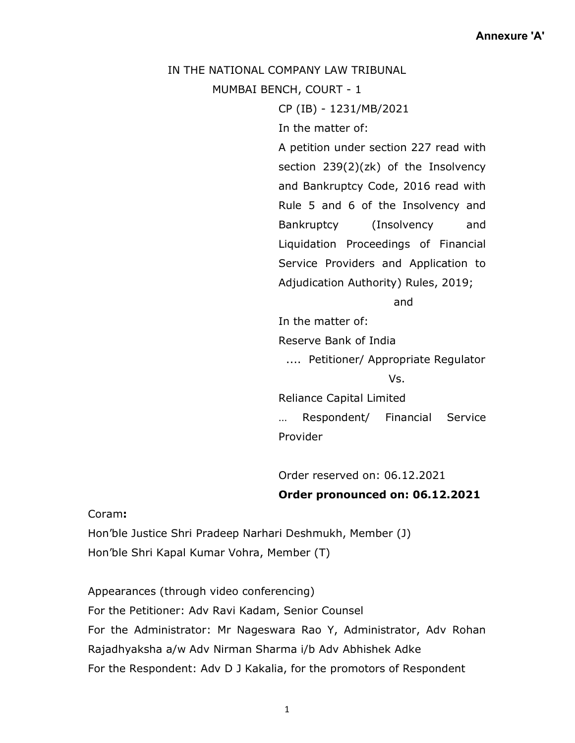#### IN THE NATIONAL COMPANY LAW TRIBUNAL

MUMBAI BENCH, COURT - 1

CP (IB) - 1231/MB/2021

In the matter of:

A petition under section 227 read with section 239(2)(zk) of the Insolvency and Bankruptcy Code, 2016 read with Rule 5 and 6 of the Insolvency and Bankruptcy (Insolvency and Liquidation Proceedings of Financial Service Providers and Application to Adjudication Authority) Rules, 2019;

and

In the matter of:

Reserve Bank of India

.... Petitioner/ Appropriate Regulator

Vs.

Reliance Capital Limited … Respondent/ Financial Service Provider

Order reserved on: 06.12.2021 Order pronounced on: 06.12.2021

Coram:

Hon'ble Justice Shri Pradeep Narhari Deshmukh, Member (J) Hon'ble Shri Kapal Kumar Vohra, Member (T)

Appearances (through video conferencing) For the Petitioner: Adv Ravi Kadam, Senior Counsel For the Administrator: Mr Nageswara Rao Y, Administrator, Adv Rohan Rajadhyaksha a/w Adv Nirman Sharma i/b Adv Abhishek Adke For the Respondent: Adv D J Kakalia, for the promotors of Respondent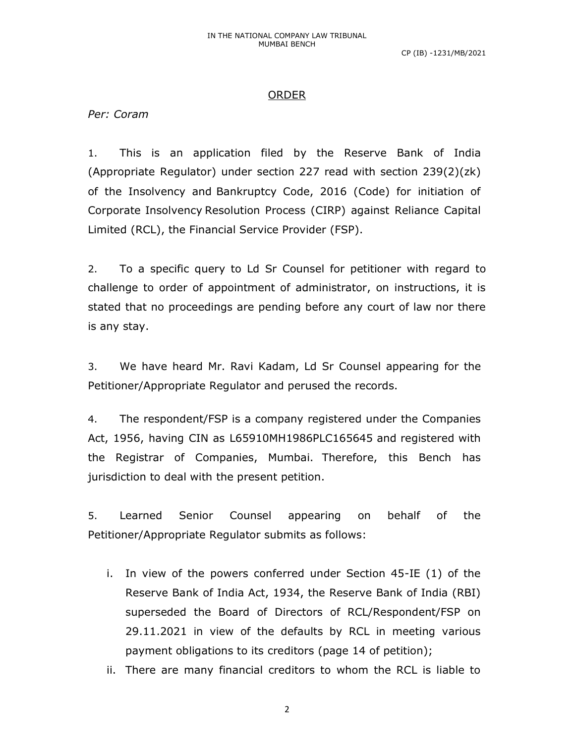## ORDER

Per: Coram

1. This is an application filed by the Reserve Bank of India (Appropriate Regulator) under section 227 read with section 239(2)(zk) of the Insolvency and Bankruptcy Code, 2016 (Code) for initiation of Corporate Insolvency Resolution Process (CIRP) against Reliance Capital Limited (RCL), the Financial Service Provider (FSP).

2. To a specific query to Ld Sr Counsel for petitioner with regard to challenge to order of appointment of administrator, on instructions, it is stated that no proceedings are pending before any court of law nor there is any stay.

3. We have heard Mr. Ravi Kadam, Ld Sr Counsel appearing for the Petitioner/Appropriate Regulator and perused the records.

4. The respondent/FSP is a company registered under the Companies Act, 1956, having CIN as L65910MH1986PLC165645 and registered with the Registrar of Companies, Mumbai. Therefore, this Bench has jurisdiction to deal with the present petition.

5. Learned Senior Counsel appearing on behalf of the Petitioner/Appropriate Regulator submits as follows:

i. In view of the powers conferred under Section 45-IE (1) of the Reserve Bank of India Act, 1934, the Reserve Bank of India (RBI) superseded the Board of Directors of RCL/Respondent/FSP on 29.11.2021 in view of the defaults by RCL in meeting various payment obligations to its creditors (page 14 of petition);

ii. There are many financial creditors to whom the RCL is liable to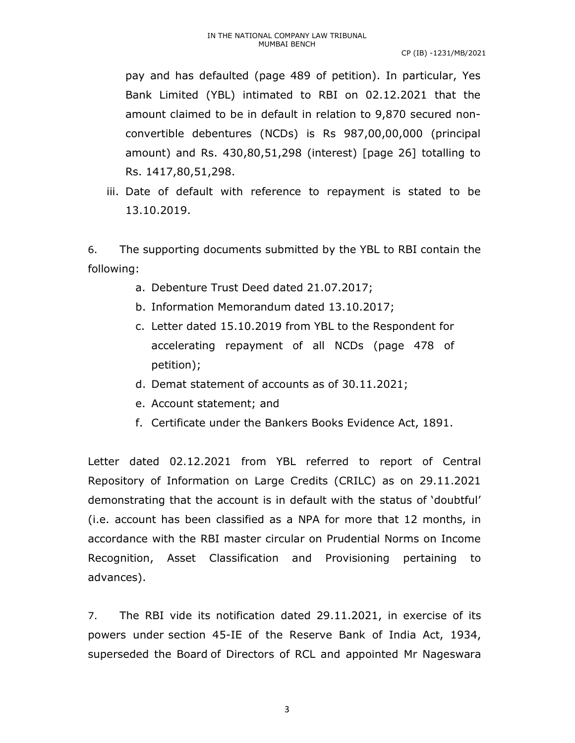pay and has defaulted (page 489 of petition). In particular, Yes Bank Limited (YBL) intimated to RBI on 02.12.2021 that the amount claimed to be in default in relation to 9,870 secured nonconvertible debentures (NCDs) is Rs 987,00,00,000 (principal amount) and Rs. 430,80,51,298 (interest) [page 26] totalling to Rs. 1417,80,51,298.

iii. Date of default with reference to repayment is stated to be 13.10.2019.

6. The supporting documents submitted by the YBL to RBI contain the following:

- a. Debenture Trust Deed dated 21.07.2017;
- b. Information Memorandum dated 13.10.2017;
- c. Letter dated 15.10.2019 from YBL to the Respondent for accelerating repayment of all NCDs (page 478 of petition);
- d. Demat statement of accounts as of 30.11.2021;
- e. Account statement; and
- f. Certificate under the Bankers Books Evidence Act, 1891.

Letter dated 02.12.2021 from YBL referred to report of Central Repository of Information on Large Credits (CRILC) as on 29.11.2021 demonstrating that the account is in default with the status of 'doubtful' (i.e. account has been classified as a NPA for more that 12 months, in accordance with the RBI master circular on Prudential Norms on Income Recognition, Asset Classification and Provisioning pertaining to advances).

7. The RBI vide its notification dated 29.11.2021, in exercise of its powers under section 45-IE of the Reserve Bank of India Act, 1934, superseded the Board of Directors of RCL and appointed Mr Nageswara

3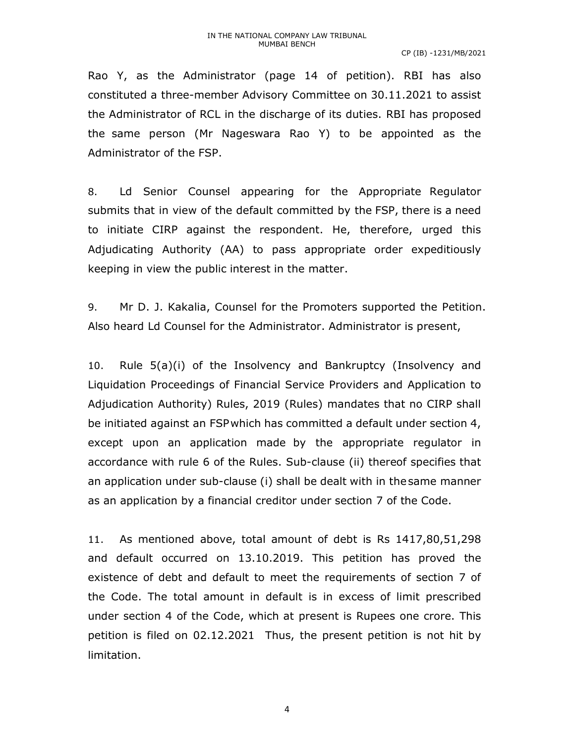Rao Y, as the Administrator (page 14 of petition). RBI has also constituted a three-member Advisory Committee on 30.11.2021 to assist the Administrator of RCL in the discharge of its duties. RBI has proposed the same person (Mr Nageswara Rao Y) to be appointed as the Administrator of the FSP.

8. Ld Senior Counsel appearing for the Appropriate Regulator submits that in view of the default committed by the FSP, there is a need to initiate CIRP against the respondent. He, therefore, urged this Adjudicating Authority (AA) to pass appropriate order expeditiously keeping in view the public interest in the matter.

9. Mr D. J. Kakalia, Counsel for the Promoters supported the Petition. Also heard Ld Counsel for the Administrator. Administrator is present,

10. Rule 5(a)(i) of the Insolvency and Bankruptcy (Insolvency and Liquidation Proceedings of Financial Service Providers and Application to Adjudication Authority) Rules, 2019 (Rules) mandates that no CIRP shall be initiated against an FSP which has committed a default under section 4, except upon an application made by the appropriate regulator in accordance with rule 6 of the Rules. Sub-clause (ii) thereof specifies that an application under sub-clause (i) shall be dealt with in the same manner as an application by a financial creditor under section 7 of the Code.

11. As mentioned above, total amount of debt is Rs 1417,80,51,298 and default occurred on 13.10.2019. This petition has proved the existence of debt and default to meet the requirements of section 7 of the Code. The total amount in default is in excess of limit prescribed under section 4 of the Code, which at present is Rupees one crore. This petition is filed on 02.12.2021 Thus, the present petition is not hit by limitation.

4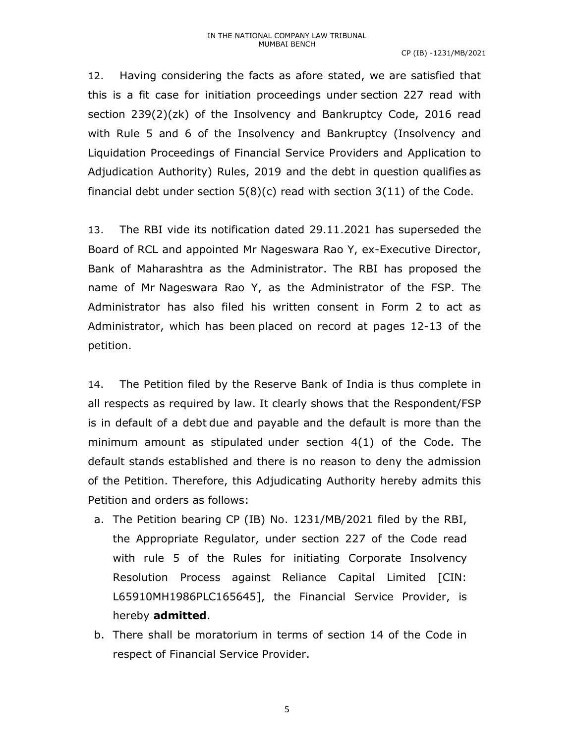12. Having considering the facts as afore stated, we are satisfied that this is a fit case for initiation proceedings under section 227 read with section 239(2)(zk) of the Insolvency and Bankruptcy Code, 2016 read with Rule 5 and 6 of the Insolvency and Bankruptcy (Insolvency and Liquidation Proceedings of Financial Service Providers and Application to Adjudication Authority) Rules, 2019 and the debt in question qualifies as financial debt under section  $5(8)(c)$  read with section  $3(11)$  of the Code.

13. The RBI vide its notification dated 29.11.2021 has superseded the Board of RCL and appointed Mr Nageswara Rao Y, ex-Executive Director, Bank of Maharashtra as the Administrator. The RBI has proposed the name of Mr Nageswara Rao Y, as the Administrator of the FSP. The Administrator has also filed his written consent in Form 2 to act as Administrator, which has been placed on record at pages 12-13 of the petition.

14. The Petition filed by the Reserve Bank of India is thus complete in all respects as required by law. It clearly shows that the Respondent/FSP is in default of a debt due and payable and the default is more than the minimum amount as stipulated under section 4(1) of the Code. The default stands established and there is no reason to deny the admission of the Petition. Therefore, this Adjudicating Authority hereby admits this Petition and orders as follows:

- a. The Petition bearing CP (IB) No. 1231/MB/2021 filed by the RBI, the Appropriate Regulator, under section 227 of the Code read with rule 5 of the Rules for initiating Corporate Insolvency Resolution Process against Reliance Capital Limited [CIN: L65910MH1986PLC165645], the Financial Service Provider, is hereby admitted.
- b. There shall be moratorium in terms of section 14 of the Code in respect of Financial Service Provider.

5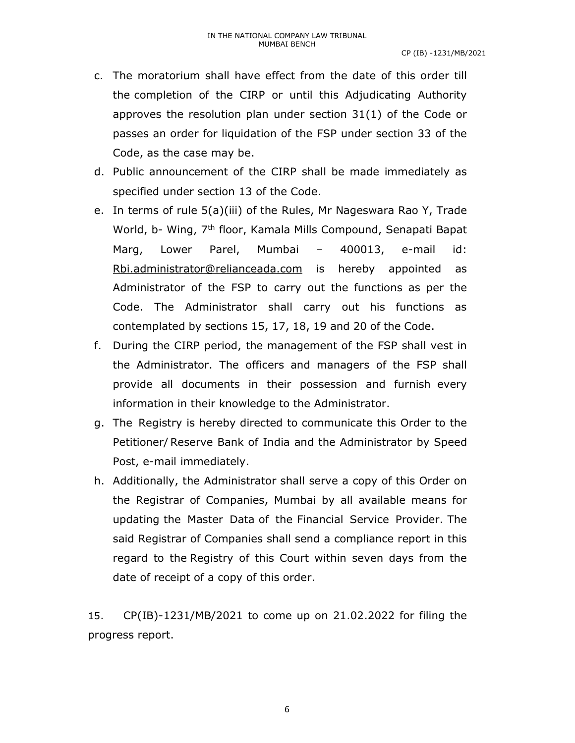- c. The moratorium shall have effect from the date of this order till the completion of the CIRP or until this Adjudicating Authority approves the resolution plan under section 31(1) of the Code or passes an order for liquidation of the FSP under section 33 of the Code, as the case may be.
- d. Public announcement of the CIRP shall be made immediately as specified under section 13 of the Code.
- e. In terms of rule 5(a)(iii) of the Rules, Mr Nageswara Rao Y, Trade World, b- Wing, 7<sup>th</sup> floor, Kamala Mills Compound, Senapati Bapat Marg, Lower Parel, Mumbai – 400013, e-mail id: Rbi.administrator@relianceada.com is hereby appointed as Administrator of the FSP to carry out the functions as per the Code. The Administrator shall carry out his functions as contemplated by sections 15, 17, 18, 19 and 20 of the Code.
- f. During the CIRP period, the management of the FSP shall vest in the Administrator. The officers and managers of the FSP shall provide all documents in their possession and furnish every information in their knowledge to the Administrator.
- g. The Registry is hereby directed to communicate this Order to the Petitioner/ Reserve Bank of India and the Administrator by Speed Post, e-mail immediately.
- h. Additionally, the Administrator shall serve a copy of this Order on the Registrar of Companies, Mumbai by all available means for updating the Master Data of the Financial Service Provider. The said Registrar of Companies shall send a compliance report in this regard to the Registry of this Court within seven days from the date of receipt of a copy of this order.

15. CP(IB)-1231/MB/2021 to come up on 21.02.2022 for filing the progress report.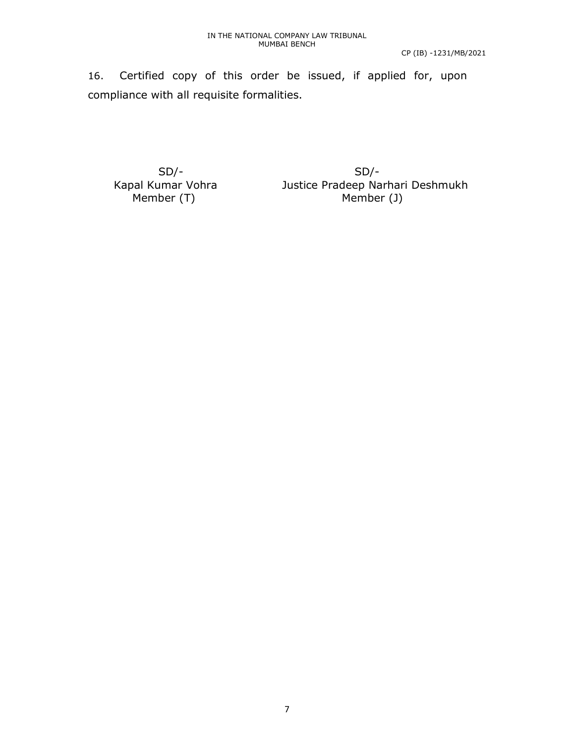16. Certified copy of this order be issued, if applied for, upon compliance with all requisite formalities.

SD/- SD/-

 Kapal Kumar Vohra Justice Pradeep Narhari Deshmukh Member (T) Member (J)